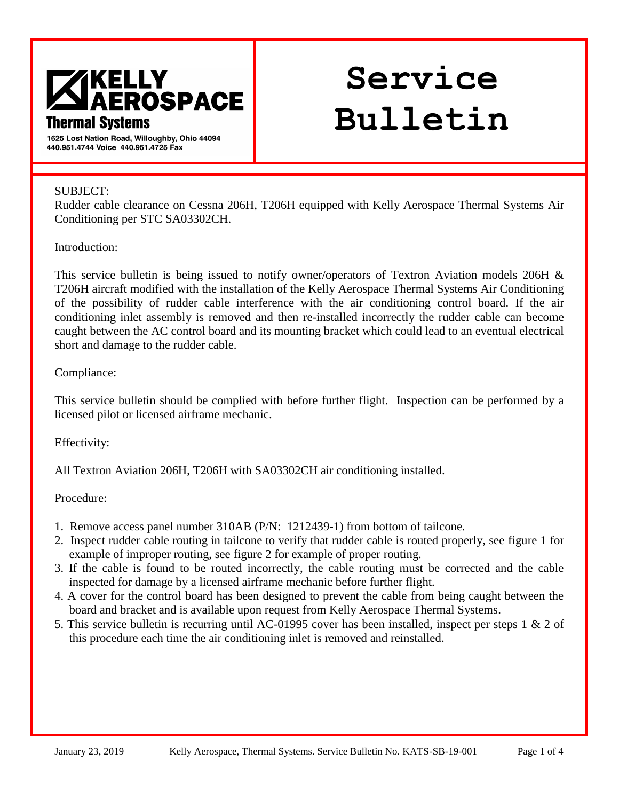

# **Service Bulletin**

**Bulletin No. Issue Date:** 

1625 Lost Nation Road, Willoughby, Ohio 44094 440.951.4744 Voice 440.951.4725 Fax

#### SUBJECT:

Rudder cable clearance on Cessna 206H, T206H equipped with Kelly Aerospace Thermal Systems Air Conditioning per STC SA03302CH.

#### Introduction:

This service bulletin is being issued to notify owner/operators of Textron Aviation models 206H & T206H aircraft modified with the installation of the Kelly Aerospace Thermal Systems Air Conditioning of the possibility of rudder cable interference with the air conditioning control board. If the air conditioning inlet assembly is removed and then re-installed incorrectly the rudder cable can become caught between the AC control board and its mounting bracket which could lead to an eventual electrical short and damage to the rudder cable.

### Compliance:

This service bulletin should be complied with before further flight. Inspection can be performed by a licensed pilot or licensed airframe mechanic.

### Effectivity:

All Textron Aviation 206H, T206H with SA03302CH air conditioning installed.

Procedure:

- 1. Remove access panel number 310AB (P/N: 1212439-1) from bottom of tailcone.
- 2. Inspect rudder cable routing in tailcone to verify that rudder cable is routed properly, see figure 1 for example of improper routing, see figure 2 for example of proper routing.
- 3. If the cable is found to be routed incorrectly, the cable routing must be corrected and the cable inspected for damage by a licensed airframe mechanic before further flight.
- 4. A cover for the control board has been designed to prevent the cable from being caught between the board and bracket and is available upon request from Kelly Aerospace Thermal Systems.
- 5. This service bulletin is recurring until AC-01995 cover has been installed, inspect per steps 1 & 2 of this procedure each time the air conditioning inlet is removed and reinstalled.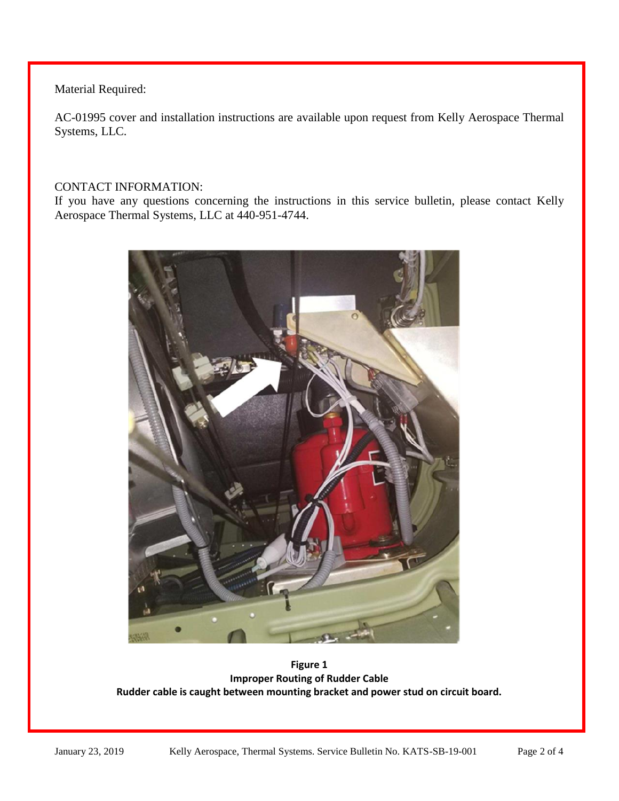Material Required:

AC-01995 cover and installation instructions are available upon request from Kelly Aerospace Thermal Systems, LLC.

## CONTACT INFORMATION:

If you have any questions concerning the instructions in this service bulletin, please contact Kelly Aerospace Thermal Systems, LLC at 440-951-4744.



**Figure 1 Improper Routing of Rudder Cable Rudder cable is caught between mounting bracket and power stud on circuit board.**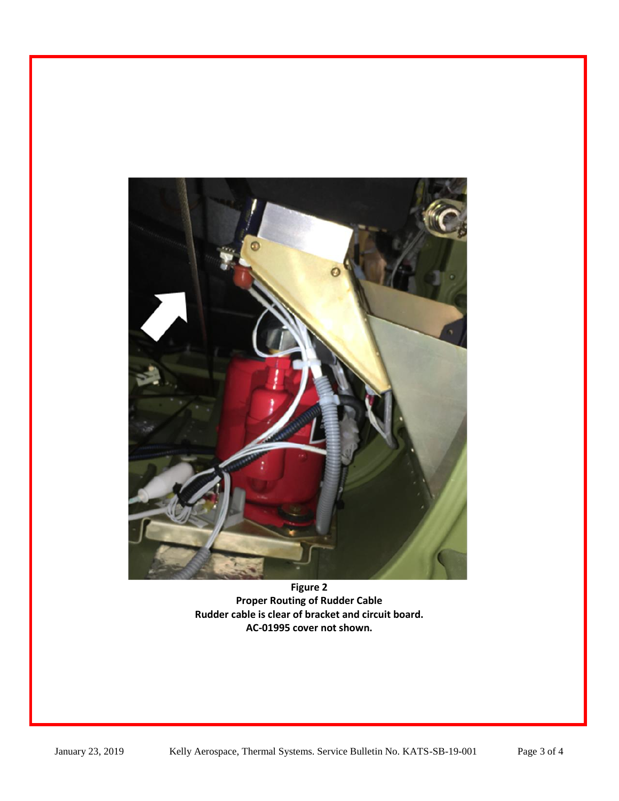

**Figure 2 Proper Routing of Rudder Cable Rudder cable is clear of bracket and circuit board. AC-01995 cover not shown.**